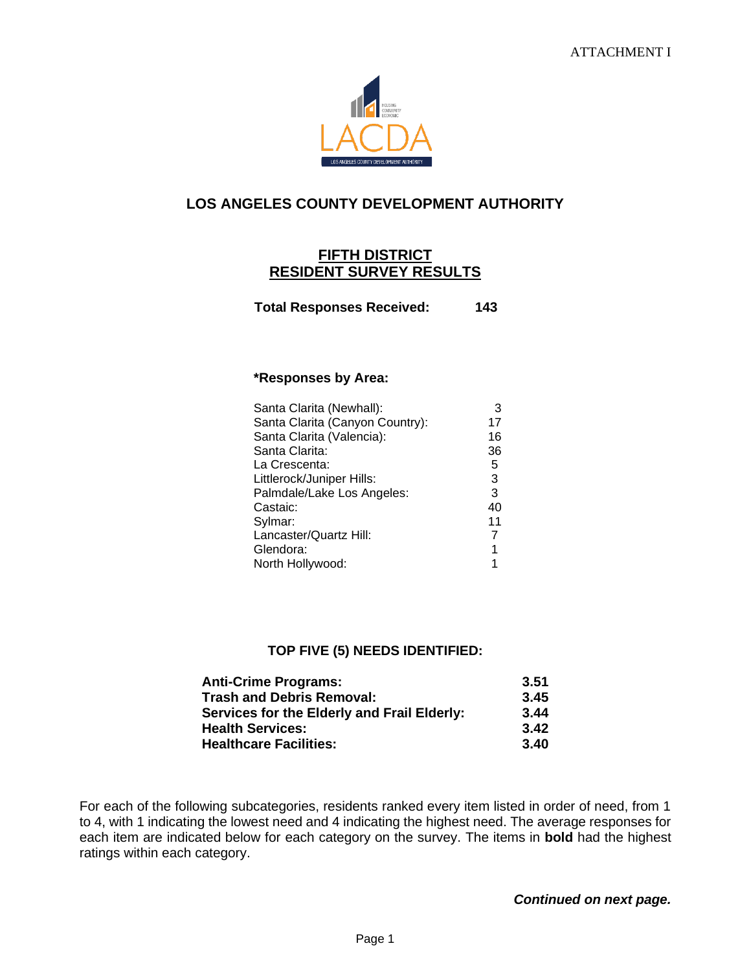

## **LOS ANGELES COUNTY DEVELOPMENT AUTHORITY**

## **FIFTH DISTRICT RESIDENT SURVEY RESULTS**

**Total Responses Received: 143**

## **\*Responses by Area:**

| Santa Clarita (Newhall):        | 3  |
|---------------------------------|----|
| Santa Clarita (Canyon Country): | 17 |
| Santa Clarita (Valencia):       | 16 |
| Santa Clarita:                  | 36 |
| La Crescenta:                   | 5  |
| Littlerock/Juniper Hills:       | 3  |
| Palmdale/Lake Los Angeles:      | 3  |
| Castaic:                        | 40 |
| Sylmar:                         | 11 |
| Lancaster/Quartz Hill:          | 7  |
| Glendora:                       | 1  |
| North Hollywood:                |    |

## **TOP FIVE (5) NEEDS IDENTIFIED:**

| <b>Anti-Crime Programs:</b>                 | 3.51 |
|---------------------------------------------|------|
| <b>Trash and Debris Removal:</b>            | 3.45 |
| Services for the Elderly and Frail Elderly: | 3.44 |
| <b>Health Services:</b>                     | 3.42 |
| <b>Healthcare Facilities:</b>               | 3.40 |

For each of the following subcategories, residents ranked every item listed in order of need, from 1 to 4, with 1 indicating the lowest need and 4 indicating the highest need. The average responses for each item are indicated below for each category on the survey. The items in **bold** had the highest ratings within each category.